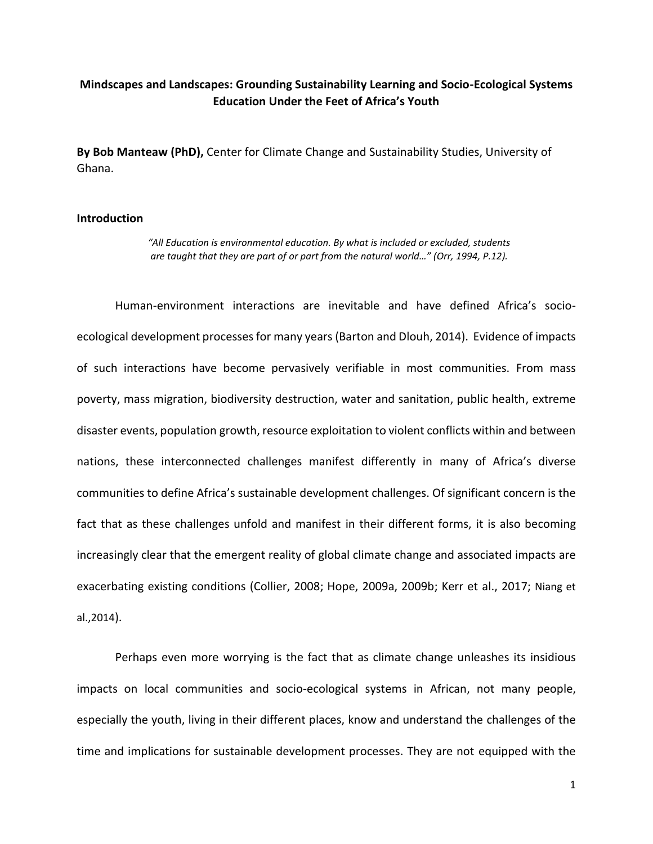# **Mindscapes and Landscapes: Grounding Sustainability Learning and Socio-Ecological Systems Education Under the Feet of Africa's Youth**

**By Bob Manteaw (PhD),** Center for Climate Change and Sustainability Studies, University of Ghana.

## **Introduction**

*"All Education is environmental education. By what is included or excluded, students are taught that they are part of or part from the natural world…" (Orr, 1994, P.12).*

Human-environment interactions are inevitable and have defined Africa's socioecological development processes for many years (Barton and Dlouh, 2014). Evidence of impacts of such interactions have become pervasively verifiable in most communities. From mass poverty, mass migration, biodiversity destruction, water and sanitation, public health, extreme disaster events, population growth, resource exploitation to violent conflicts within and between nations, these interconnected challenges manifest differently in many of Africa's diverse communities to define Africa's sustainable development challenges. Of significant concern is the fact that as these challenges unfold and manifest in their different forms, it is also becoming increasingly clear that the emergent reality of global climate change and associated impacts are exacerbating existing conditions (Collier, 2008; Hope, 2009a, 2009b; Kerr et al., 2017; Niang et al.,2014).

Perhaps even more worrying is the fact that as climate change unleashes its insidious impacts on local communities and socio-ecological systems in African, not many people, especially the youth, living in their different places, know and understand the challenges of the time and implications for sustainable development processes. They are not equipped with the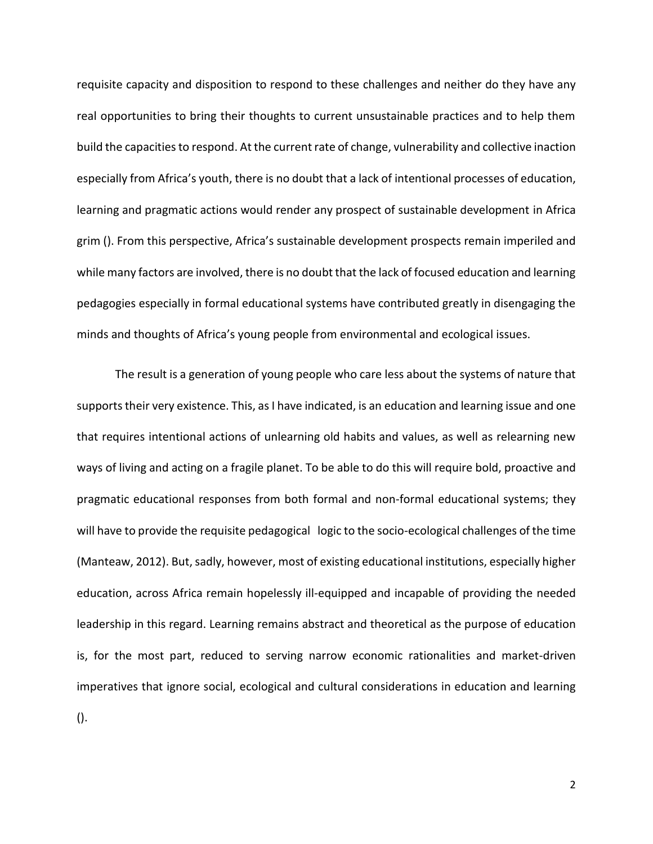requisite capacity and disposition to respond to these challenges and neither do they have any real opportunities to bring their thoughts to current unsustainable practices and to help them build the capacities to respond. At the current rate of change, vulnerability and collective inaction especially from Africa's youth, there is no doubt that a lack of intentional processes of education, learning and pragmatic actions would render any prospect of sustainable development in Africa grim (). From this perspective, Africa's sustainable development prospects remain imperiled and while many factors are involved, there is no doubt that the lack of focused education and learning pedagogies especially in formal educational systems have contributed greatly in disengaging the minds and thoughts of Africa's young people from environmental and ecological issues.

The result is a generation of young people who care less about the systems of nature that supports their very existence. This, as I have indicated, is an education and learning issue and one that requires intentional actions of unlearning old habits and values, as well as relearning new ways of living and acting on a fragile planet. To be able to do this will require bold, proactive and pragmatic educational responses from both formal and non-formal educational systems; they will have to provide the requisite pedagogical logic to the socio-ecological challenges of the time (Manteaw, 2012). But, sadly, however, most of existing educational institutions, especially higher education, across Africa remain hopelessly ill-equipped and incapable of providing the needed leadership in this regard. Learning remains abstract and theoretical as the purpose of education is, for the most part, reduced to serving narrow economic rationalities and market-driven imperatives that ignore social, ecological and cultural considerations in education and learning ().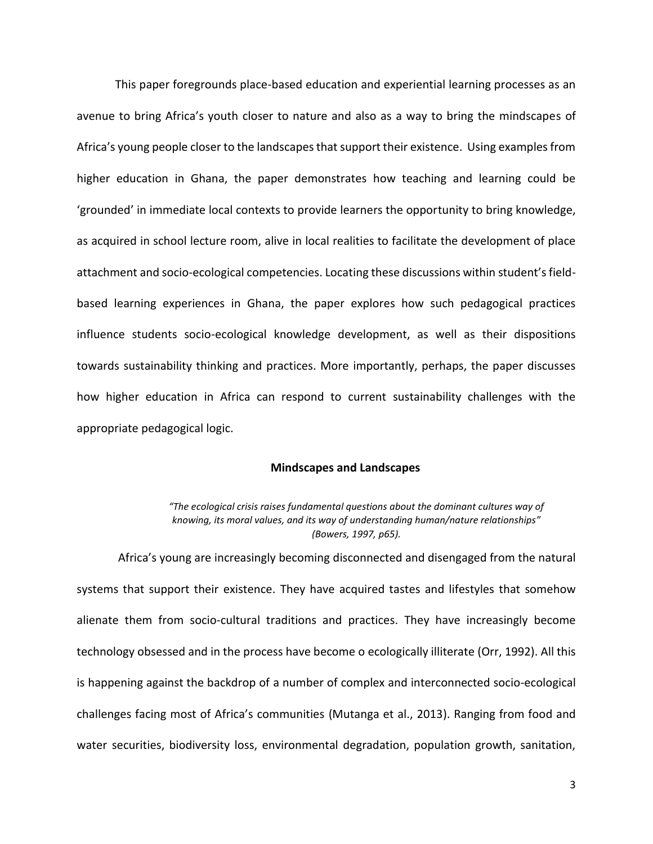This paper foregrounds place-based education and experiential learning processes as an avenue to bring Africa's youth closer to nature and also as a way to bring the mindscapes of Africa's young people closer to the landscapes that support their existence. Using examples from higher education in Ghana, the paper demonstrates how teaching and learning could be 'grounded' in immediate local contexts to provide learners the opportunity to bring knowledge, as acquired in school lecture room, alive in local realities to facilitate the development of place attachment and socio-ecological competencies. Locating these discussions within student's fieldbased learning experiences in Ghana, the paper explores how such pedagogical practices influence students socio-ecological knowledge development, as well as their dispositions towards sustainability thinking and practices. More importantly, perhaps, the paper discusses how higher education in Africa can respond to current sustainability challenges with the appropriate pedagogical logic.

#### **Mindscapes and Landscapes**

*"The ecological crisis raises fundamental questions about the dominant cultures way of knowing, its moral values, and its way of understanding human/nature relationships" (Bowers, 1997, p65).*

Africa's young are increasingly becoming disconnected and disengaged from the natural systems that support their existence. They have acquired tastes and lifestyles that somehow alienate them from socio-cultural traditions and practices. They have increasingly become technology obsessed and in the process have become o ecologically illiterate (Orr, 1992). All this is happening against the backdrop of a number of complex and interconnected socio-ecological challenges facing most of Africa's communities (Mutanga et al., 2013). Ranging from food and water securities, biodiversity loss, environmental degradation, population growth, sanitation,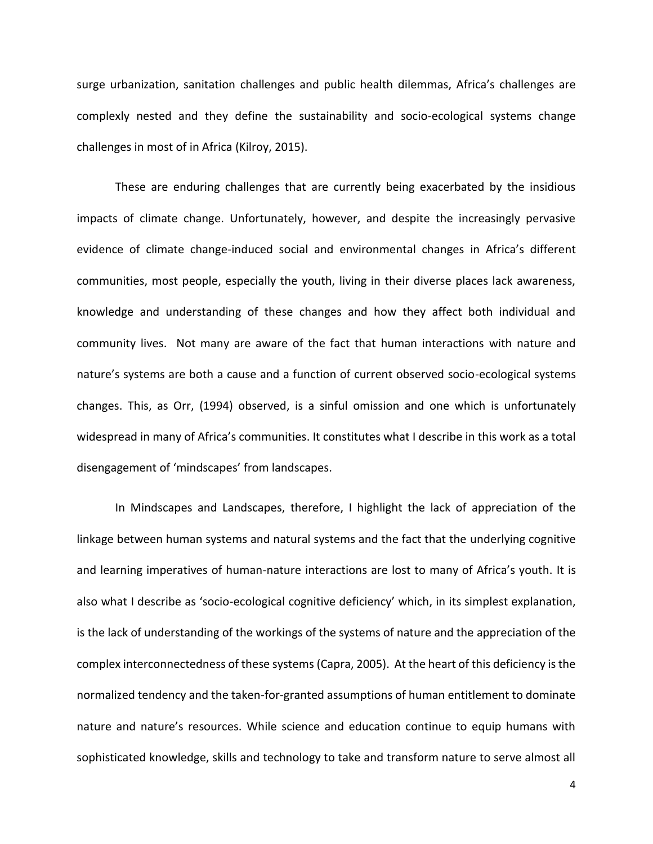surge urbanization, sanitation challenges and public health dilemmas, Africa's challenges are complexly nested and they define the sustainability and socio-ecological systems change challenges in most of in Africa (Kilroy, 2015).

These are enduring challenges that are currently being exacerbated by the insidious impacts of climate change. Unfortunately, however, and despite the increasingly pervasive evidence of climate change-induced social and environmental changes in Africa's different communities, most people, especially the youth, living in their diverse places lack awareness, knowledge and understanding of these changes and how they affect both individual and community lives. Not many are aware of the fact that human interactions with nature and nature's systems are both a cause and a function of current observed socio-ecological systems changes. This, as Orr, (1994) observed, is a sinful omission and one which is unfortunately widespread in many of Africa's communities. It constitutes what I describe in this work as a total disengagement of 'mindscapes' from landscapes.

In Mindscapes and Landscapes, therefore, I highlight the lack of appreciation of the linkage between human systems and natural systems and the fact that the underlying cognitive and learning imperatives of human-nature interactions are lost to many of Africa's youth. It is also what I describe as 'socio-ecological cognitive deficiency' which, in its simplest explanation, is the lack of understanding of the workings of the systems of nature and the appreciation of the complex interconnectedness of these systems (Capra, 2005). At the heart of this deficiency is the normalized tendency and the taken-for-granted assumptions of human entitlement to dominate nature and nature's resources. While science and education continue to equip humans with sophisticated knowledge, skills and technology to take and transform nature to serve almost all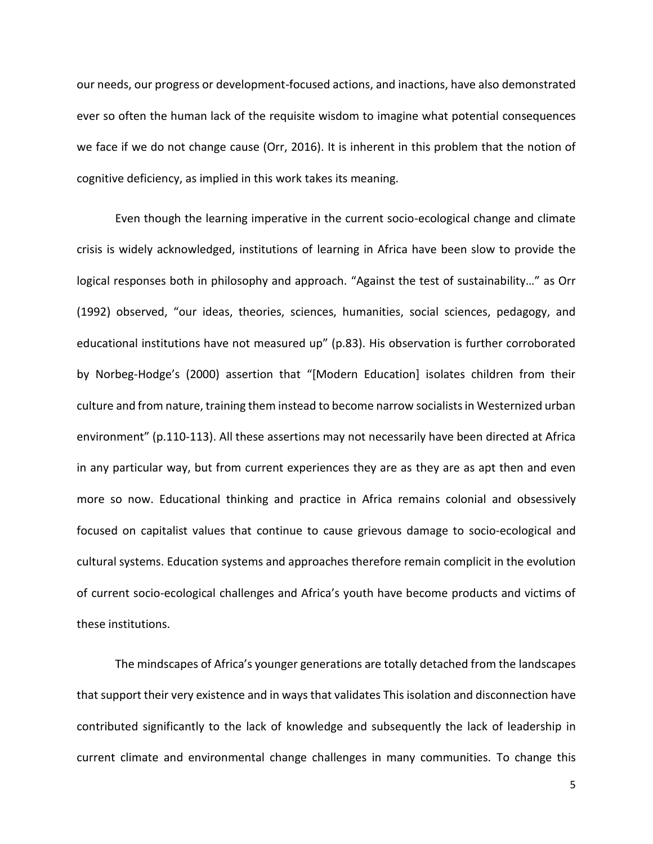our needs, our progress or development-focused actions, and inactions, have also demonstrated ever so often the human lack of the requisite wisdom to imagine what potential consequences we face if we do not change cause (Orr, 2016). It is inherent in this problem that the notion of cognitive deficiency, as implied in this work takes its meaning.

Even though the learning imperative in the current socio-ecological change and climate crisis is widely acknowledged, institutions of learning in Africa have been slow to provide the logical responses both in philosophy and approach. "Against the test of sustainability…" as Orr (1992) observed, "our ideas, theories, sciences, humanities, social sciences, pedagogy, and educational institutions have not measured up" (p.83). His observation is further corroborated by Norbeg-Hodge's (2000) assertion that "[Modern Education] isolates children from their culture and from nature, training them instead to become narrow socialists in Westernized urban environment" (p.110-113). All these assertions may not necessarily have been directed at Africa in any particular way, but from current experiences they are as they are as apt then and even more so now. Educational thinking and practice in Africa remains colonial and obsessively focused on capitalist values that continue to cause grievous damage to socio-ecological and cultural systems. Education systems and approaches therefore remain complicit in the evolution of current socio-ecological challenges and Africa's youth have become products and victims of these institutions.

The mindscapes of Africa's younger generations are totally detached from the landscapes that support their very existence and in ways that validates This isolation and disconnection have contributed significantly to the lack of knowledge and subsequently the lack of leadership in current climate and environmental change challenges in many communities. To change this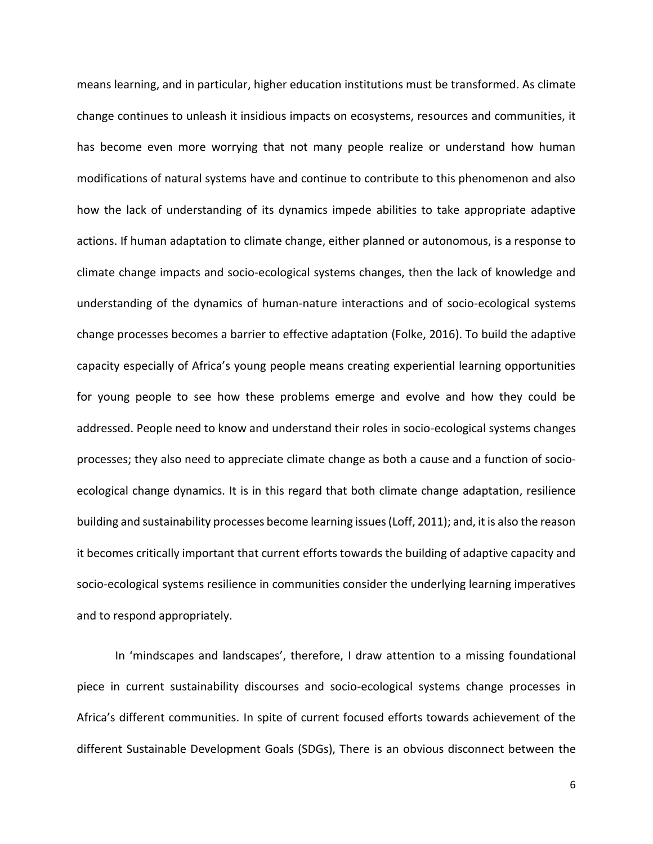means learning, and in particular, higher education institutions must be transformed. As climate change continues to unleash it insidious impacts on ecosystems, resources and communities, it has become even more worrying that not many people realize or understand how human modifications of natural systems have and continue to contribute to this phenomenon and also how the lack of understanding of its dynamics impede abilities to take appropriate adaptive actions. If human adaptation to climate change, either planned or autonomous, is a response to climate change impacts and socio-ecological systems changes, then the lack of knowledge and understanding of the dynamics of human-nature interactions and of socio-ecological systems change processes becomes a barrier to effective adaptation (Folke, 2016). To build the adaptive capacity especially of Africa's young people means creating experiential learning opportunities for young people to see how these problems emerge and evolve and how they could be addressed. People need to know and understand their roles in socio-ecological systems changes processes; they also need to appreciate climate change as both a cause and a function of socioecological change dynamics. It is in this regard that both climate change adaptation, resilience building and sustainability processes become learning issues (Loff, 2011); and, it is also the reason it becomes critically important that current efforts towards the building of adaptive capacity and socio-ecological systems resilience in communities consider the underlying learning imperatives and to respond appropriately.

In 'mindscapes and landscapes', therefore, I draw attention to a missing foundational piece in current sustainability discourses and socio-ecological systems change processes in Africa's different communities. In spite of current focused efforts towards achievement of the different Sustainable Development Goals (SDGs), There is an obvious disconnect between the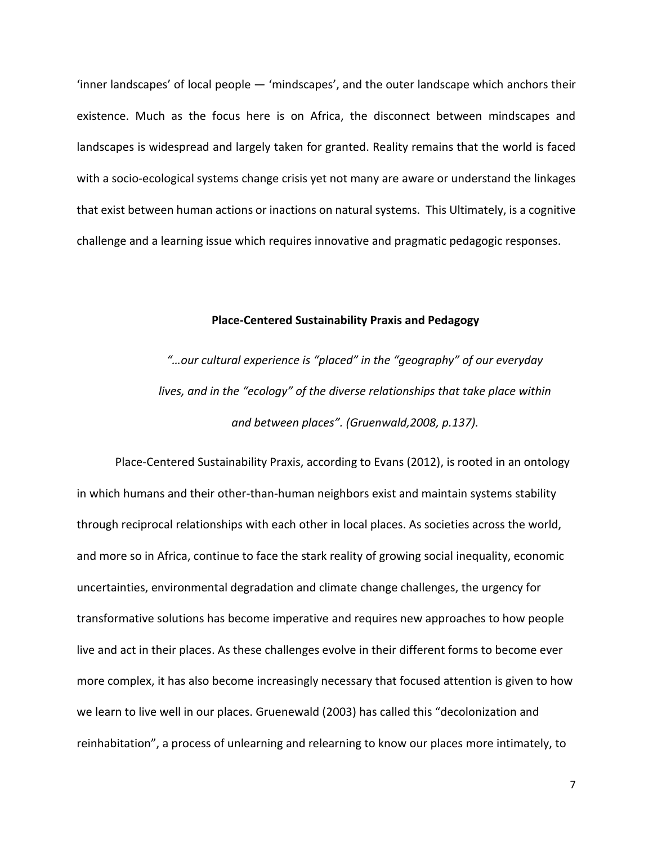'inner landscapes' of local people — 'mindscapes', and the outer landscape which anchors their existence. Much as the focus here is on Africa, the disconnect between mindscapes and landscapes is widespread and largely taken for granted. Reality remains that the world is faced with a socio-ecological systems change crisis yet not many are aware or understand the linkages that exist between human actions or inactions on natural systems. This Ultimately, is a cognitive challenge and a learning issue which requires innovative and pragmatic pedagogic responses.

## **Place-Centered Sustainability Praxis and Pedagogy**

*"…our cultural experience is "placed" in the "geography" of our everyday lives, and in the "ecology" of the diverse relationships that take place within and between places". (Gruenwald,2008, p.137).*

Place-Centered Sustainability Praxis, according to Evans (2012), is rooted in an ontology in which humans and their other-than-human neighbors exist and maintain systems stability through reciprocal relationships with each other in local places. As societies across the world, and more so in Africa, continue to face the stark reality of growing social inequality, economic uncertainties, environmental degradation and climate change challenges, the urgency for transformative solutions has become imperative and requires new approaches to how people live and act in their places. As these challenges evolve in their different forms to become ever more complex, it has also become increasingly necessary that focused attention is given to how we learn to live well in our places. Gruenewald (2003) has called this "decolonization and reinhabitation", a process of unlearning and relearning to know our places more intimately, to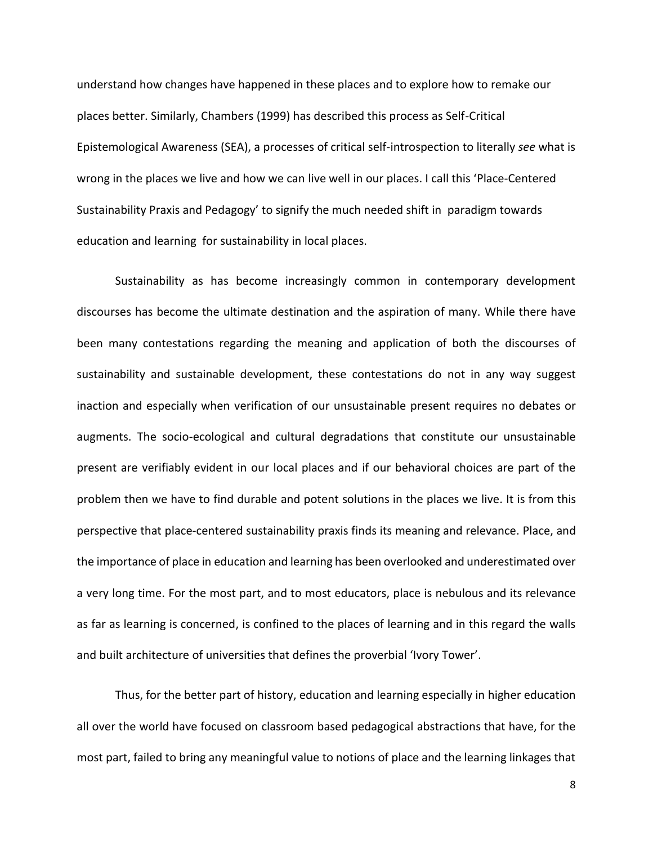understand how changes have happened in these places and to explore how to remake our places better. Similarly, Chambers (1999) has described this process as Self-Critical Epistemological Awareness (SEA), a processes of critical self-introspection to literally *see* what is wrong in the places we live and how we can live well in our places. I call this 'Place-Centered Sustainability Praxis and Pedagogy' to signify the much needed shift in paradigm towards education and learning for sustainability in local places.

Sustainability as has become increasingly common in contemporary development discourses has become the ultimate destination and the aspiration of many. While there have been many contestations regarding the meaning and application of both the discourses of sustainability and sustainable development, these contestations do not in any way suggest inaction and especially when verification of our unsustainable present requires no debates or augments. The socio-ecological and cultural degradations that constitute our unsustainable present are verifiably evident in our local places and if our behavioral choices are part of the problem then we have to find durable and potent solutions in the places we live. It is from this perspective that place-centered sustainability praxis finds its meaning and relevance. Place, and the importance of place in education and learning has been overlooked and underestimated over a very long time. For the most part, and to most educators, place is nebulous and its relevance as far as learning is concerned, is confined to the places of learning and in this regard the walls and built architecture of universities that defines the proverbial 'Ivory Tower'.

Thus, for the better part of history, education and learning especially in higher education all over the world have focused on classroom based pedagogical abstractions that have, for the most part, failed to bring any meaningful value to notions of place and the learning linkages that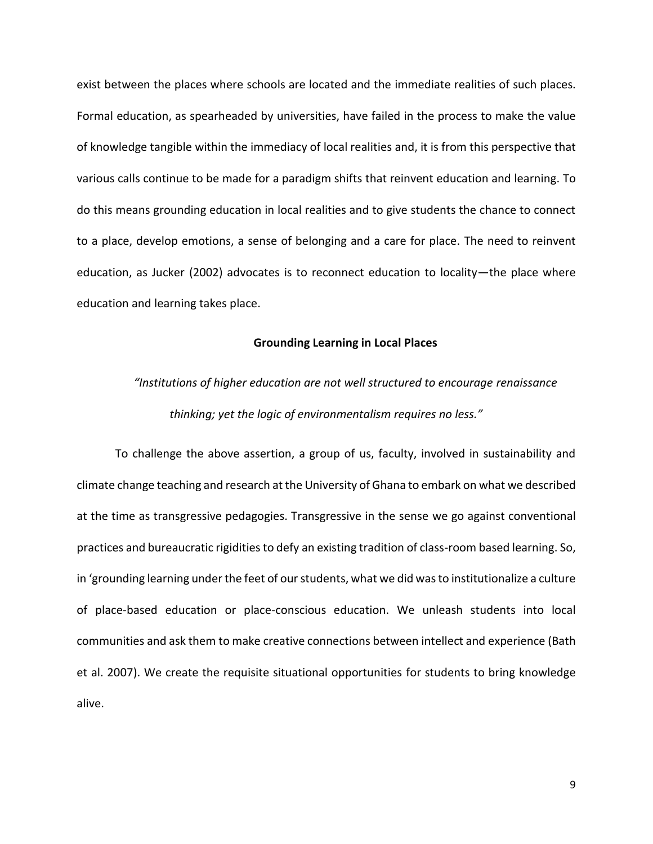exist between the places where schools are located and the immediate realities of such places. Formal education, as spearheaded by universities, have failed in the process to make the value of knowledge tangible within the immediacy of local realities and, it is from this perspective that various calls continue to be made for a paradigm shifts that reinvent education and learning. To do this means grounding education in local realities and to give students the chance to connect to a place, develop emotions, a sense of belonging and a care for place. The need to reinvent education, as Jucker (2002) advocates is to reconnect education to locality—the place where education and learning takes place.

#### **Grounding Learning in Local Places**

# *"Institutions of higher education are not well structured to encourage renaissance thinking; yet the logic of environmentalism requires no less."*

To challenge the above assertion, a group of us, faculty, involved in sustainability and climate change teaching and research at the University of Ghana to embark on what we described at the time as transgressive pedagogies. Transgressive in the sense we go against conventional practices and bureaucratic rigidities to defy an existing tradition of class-room based learning. So, in 'grounding learning under the feet of our students, what we did was to institutionalize a culture of place-based education or place-conscious education. We unleash students into local communities and ask them to make creative connections between intellect and experience (Bath et al. 2007). We create the requisite situational opportunities for students to bring knowledge alive.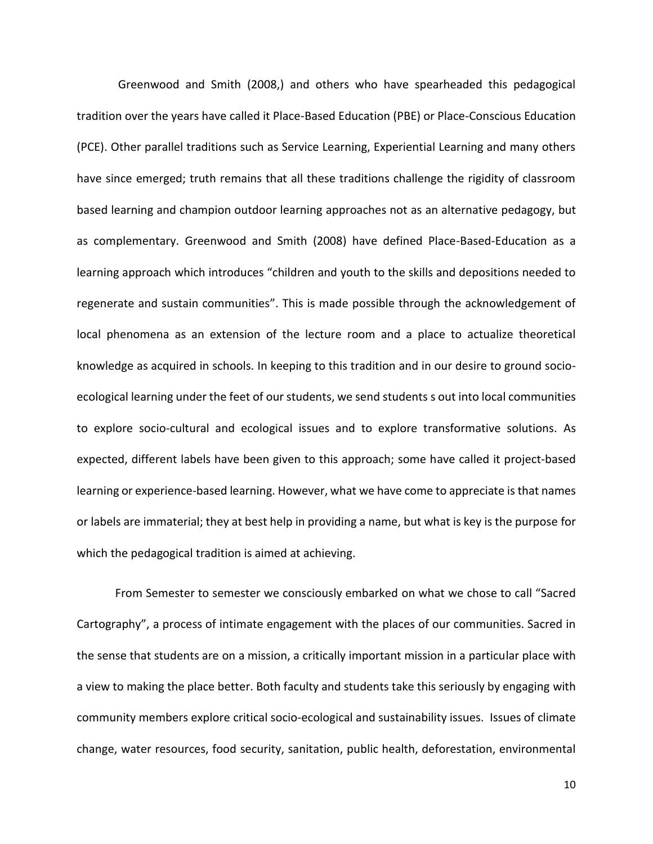Greenwood and Smith (2008,) and others who have spearheaded this pedagogical tradition over the years have called it Place-Based Education (PBE) or Place-Conscious Education (PCE). Other parallel traditions such as Service Learning, Experiential Learning and many others have since emerged; truth remains that all these traditions challenge the rigidity of classroom based learning and champion outdoor learning approaches not as an alternative pedagogy, but as complementary. Greenwood and Smith (2008) have defined Place-Based-Education as a learning approach which introduces "children and youth to the skills and depositions needed to regenerate and sustain communities". This is made possible through the acknowledgement of local phenomena as an extension of the lecture room and a place to actualize theoretical knowledge as acquired in schools. In keeping to this tradition and in our desire to ground socioecological learning under the feet of our students, we send students s out into local communities to explore socio-cultural and ecological issues and to explore transformative solutions. As expected, different labels have been given to this approach; some have called it project-based learning or experience-based learning. However, what we have come to appreciate is that names or labels are immaterial; they at best help in providing a name, but what is key is the purpose for which the pedagogical tradition is aimed at achieving.

From Semester to semester we consciously embarked on what we chose to call "Sacred Cartography", a process of intimate engagement with the places of our communities. Sacred in the sense that students are on a mission, a critically important mission in a particular place with a view to making the place better. Both faculty and students take this seriously by engaging with community members explore critical socio-ecological and sustainability issues. Issues of climate change, water resources, food security, sanitation, public health, deforestation, environmental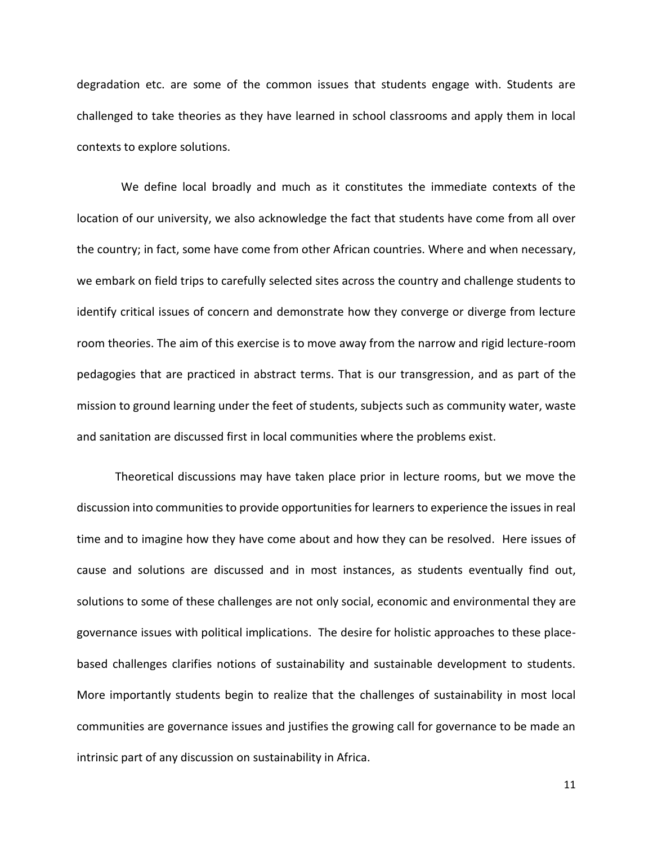degradation etc. are some of the common issues that students engage with. Students are challenged to take theories as they have learned in school classrooms and apply them in local contexts to explore solutions.

 We define local broadly and much as it constitutes the immediate contexts of the location of our university, we also acknowledge the fact that students have come from all over the country; in fact, some have come from other African countries. Where and when necessary, we embark on field trips to carefully selected sites across the country and challenge students to identify critical issues of concern and demonstrate how they converge or diverge from lecture room theories. The aim of this exercise is to move away from the narrow and rigid lecture-room pedagogies that are practiced in abstract terms. That is our transgression, and as part of the mission to ground learning under the feet of students, subjects such as community water, waste and sanitation are discussed first in local communities where the problems exist.

Theoretical discussions may have taken place prior in lecture rooms, but we move the discussion into communities to provide opportunities for learners to experience the issues in real time and to imagine how they have come about and how they can be resolved. Here issues of cause and solutions are discussed and in most instances, as students eventually find out, solutions to some of these challenges are not only social, economic and environmental they are governance issues with political implications. The desire for holistic approaches to these placebased challenges clarifies notions of sustainability and sustainable development to students. More importantly students begin to realize that the challenges of sustainability in most local communities are governance issues and justifies the growing call for governance to be made an intrinsic part of any discussion on sustainability in Africa.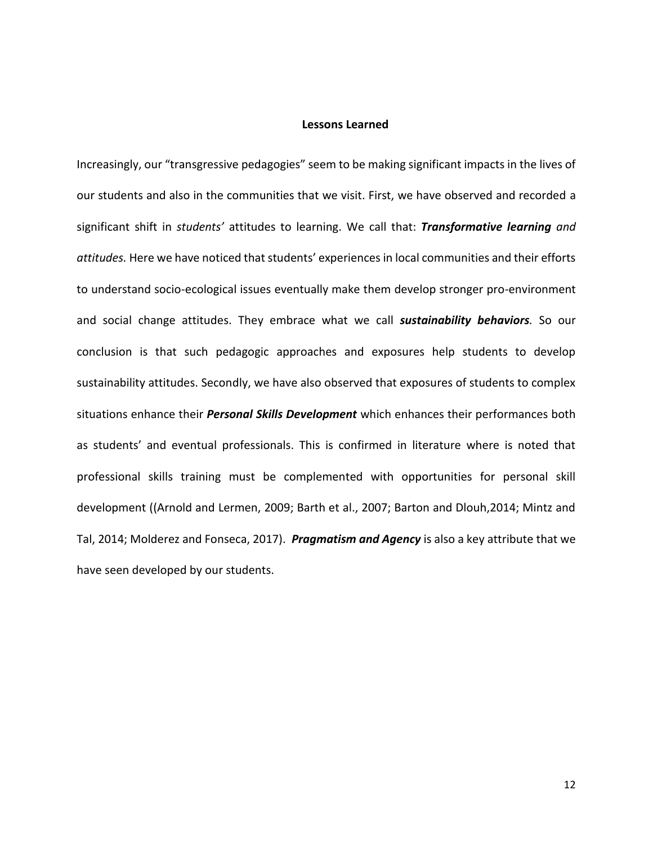## **Lessons Learned**

Increasingly, our "transgressive pedagogies" seem to be making significant impacts in the lives of our students and also in the communities that we visit. First, we have observed and recorded a significant shift in *students'* attitudes to learning. We call that: *Transformative learning and attitudes.* Here we have noticed that students' experiences in local communities and their efforts to understand socio-ecological issues eventually make them develop stronger pro-environment and social change attitudes. They embrace what we call *sustainability behaviors.* So our conclusion is that such pedagogic approaches and exposures help students to develop sustainability attitudes. Secondly, we have also observed that exposures of students to complex situations enhance their *Personal Skills Development* which enhances their performances both as students' and eventual professionals. This is confirmed in literature where is noted that professional skills training must be complemented with opportunities for personal skill development ((Arnold and Lermen, 2009; Barth et al., 2007; Barton and Dlouh,2014; Mintz and Tal, 2014; Molderez and Fonseca, 2017). *Pragmatism and Agency* is also a key attribute that we have seen developed by our students.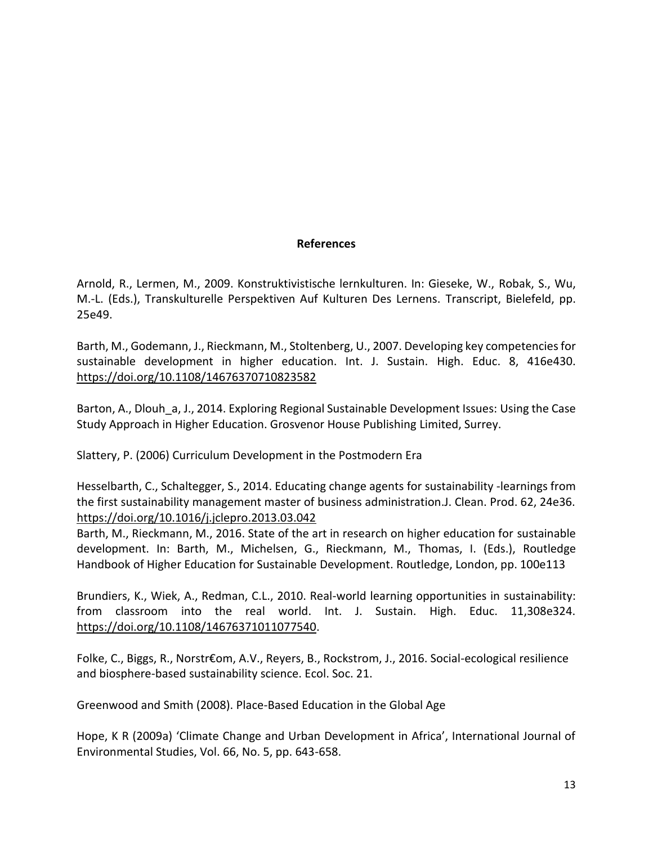# **References**

Arnold, R., Lermen, M., 2009. Konstruktivistische lernkulturen. In: Gieseke, W., Robak, S., Wu, M.-L. (Eds.), Transkulturelle Perspektiven Auf Kulturen Des Lernens. Transcript, Bielefeld, pp. 25e49.

Barth, M., Godemann, J., Rieckmann, M., Stoltenberg, U., 2007. Developing key competencies for sustainable development in higher education. Int. J. Sustain. High. Educ. 8, 416e430. <https://doi.org/10.1108/14676370710823582>

Barton, A., Dlouh a, J., 2014. Exploring Regional Sustainable Development Issues: Using the Case Study Approach in Higher Education. Grosvenor House Publishing Limited, Surrey.

Slattery, P. (2006) Curriculum Development in the Postmodern Era

Hesselbarth, C., Schaltegger, S., 2014. Educating change agents for sustainability -learnings from the first sustainability management master of business administration.J. Clean. Prod. 62, 24e36. <https://doi.org/10.1016/j.jclepro.2013.03.042>

Barth, M., Rieckmann, M., 2016. State of the art in research on higher education for sustainable development. In: Barth, M., Michelsen, G., Rieckmann, M., Thomas, I. (Eds.), Routledge Handbook of Higher Education for Sustainable Development. Routledge, London, pp. 100e113

Brundiers, K., Wiek, A., Redman, C.L., 2010. Real-world learning opportunities in sustainability: from classroom into the real world. Int. J. Sustain. High. Educ. 11,308e324. [https://doi.org/10.1108/14676371011077540.](https://doi.org/10.1108/14676371011077540)

Folke, C., Biggs, R., Norstr€om, A.V., Reyers, B., Rockstrom, J., 2016. Social-ecological resilience and biosphere-based sustainability science. Ecol. Soc. 21.

Greenwood and Smith (2008). Place-Based Education in the Global Age

Hope, K R (2009a) 'Climate Change and Urban Development in Africa', International Journal of Environmental Studies, Vol. 66, No. 5, pp. 643-658.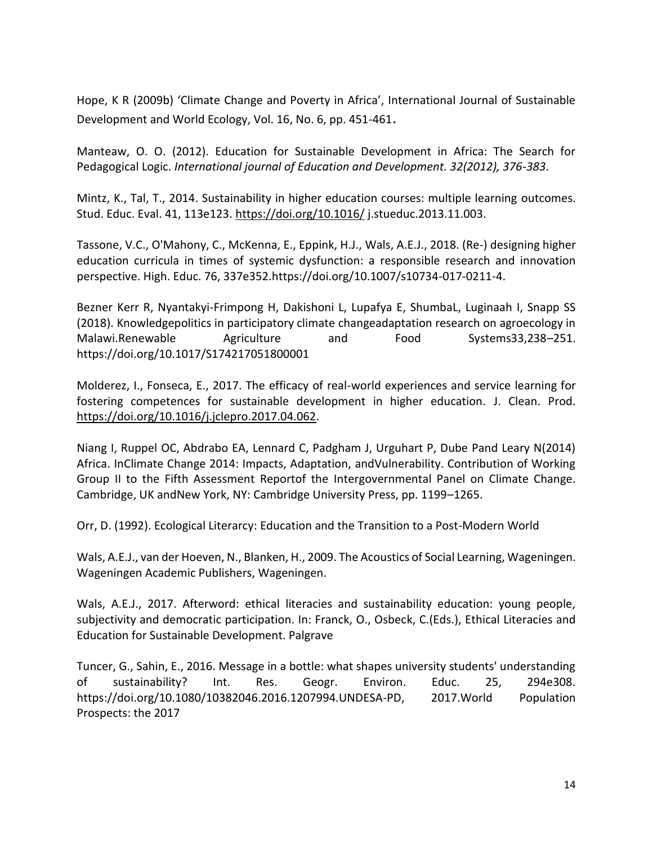Hope, K R (2009b) 'Climate Change and Poverty in Africa', International Journal of Sustainable Development and World Ecology, Vol. 16, No. 6, pp. 451-461.

Manteaw, O. O. (2012). Education for Sustainable Development in Africa: The Search for Pedagogical Logic. *International journal of Education and Development. 32(2012), 376-383*.

Mintz, K., Tal, T., 2014. Sustainability in higher education courses: multiple learning outcomes. Stud. Educ. Eval. 41, 113e123.<https://doi.org/10.1016/> j.stueduc.2013.11.003.

Tassone, V.C., O'Mahony, C., McKenna, E., Eppink, H.J., Wals, A.E.J., 2018. (Re-) designing higher education curricula in times of systemic dysfunction: a responsible research and innovation perspective. High. Educ. 76, 337e352.https://doi.org/10.1007/s10734-017-0211-4.

Bezner Kerr R, Nyantakyi-Frimpong H, Dakishoni L, Lupafya E, ShumbaL, Luginaah I, Snapp SS (2018). Knowledgepolitics in participatory climate changeadaptation research on agroecology in Malawi.Renewable Agriculture and Food Systems33,238–251. https://doi.org/10.1017/S174217051800001

Molderez, I., Fonseca, E., 2017. The efficacy of real-world experiences and service learning for fostering competences for sustainable development in higher education. J. Clean. Prod. [https://doi.org/10.1016/j.jclepro.2017.04.062.](https://doi.org/10.1016/j.jclepro.2017.04.062)

Niang I, Ruppel OC, Abdrabo EA, Lennard C, Padgham J, Urguhart P, Dube Pand Leary N(2014) Africa. InClimate Change 2014: Impacts, Adaptation, andVulnerability. Contribution of Working Group II to the Fifth Assessment Reportof the Intergovernmental Panel on Climate Change. Cambridge, UK andNew York, NY: Cambridge University Press, pp. 1199–1265.

Orr, D. (1992). Ecological Literarcy: Education and the Transition to a Post-Modern World

Wals, A.E.J., van der Hoeven, N., Blanken, H., 2009. The Acoustics of Social Learning, Wageningen. Wageningen Academic Publishers, Wageningen.

Wals, A.E.J., 2017. Afterword: ethical literacies and sustainability education: young people, subjectivity and democratic participation. In: Franck, O., Osbeck, C.(Eds.), Ethical Literacies and Education for Sustainable Development. Palgrave

Tuncer, G., Sahin, E., 2016. Message in a bottle: what shapes university students' understanding of sustainability? Int. Res. Geogr. Environ. Educ. 25, 294e308. https://doi.org/10.1080/10382046.2016.1207994.UNDESA-PD, 2017.World Population Prospects: the 2017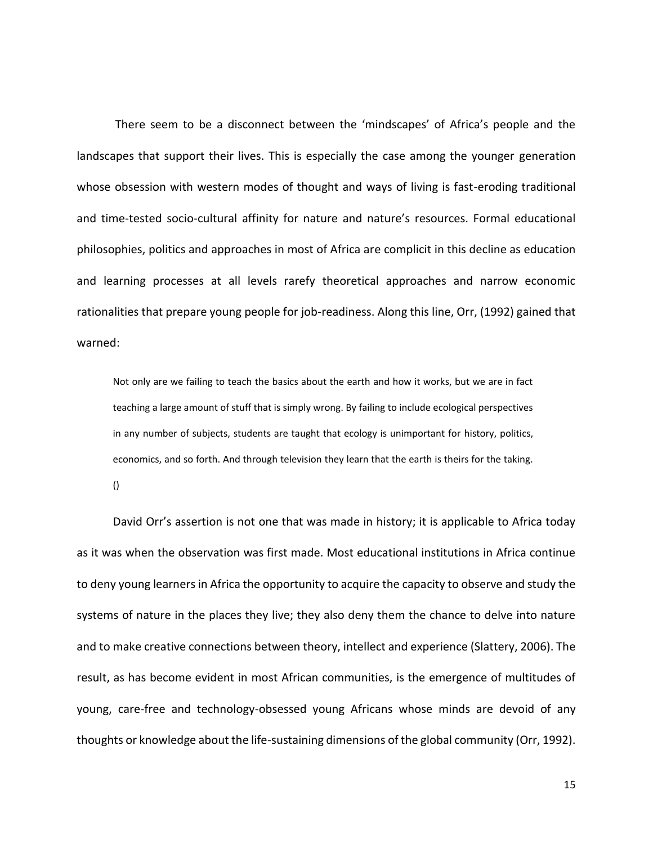There seem to be a disconnect between the 'mindscapes' of Africa's people and the landscapes that support their lives. This is especially the case among the younger generation whose obsession with western modes of thought and ways of living is fast-eroding traditional and time-tested socio-cultural affinity for nature and nature's resources. Formal educational philosophies, politics and approaches in most of Africa are complicit in this decline as education and learning processes at all levels rarefy theoretical approaches and narrow economic rationalities that prepare young people for job-readiness. Along this line, Orr, (1992) gained that warned:

Not only are we failing to teach the basics about the earth and how it works, but we are in fact teaching a large amount of stuff that is simply wrong. By failing to include ecological perspectives in any number of subjects, students are taught that ecology is unimportant for history, politics, economics, and so forth. And through television they learn that the earth is theirs for the taking.

()

David Orr's assertion is not one that was made in history; it is applicable to Africa today as it was when the observation was first made. Most educational institutions in Africa continue to deny young learners in Africa the opportunity to acquire the capacity to observe and study the systems of nature in the places they live; they also deny them the chance to delve into nature and to make creative connections between theory, intellect and experience (Slattery, 2006). The result, as has become evident in most African communities, is the emergence of multitudes of young, care-free and technology-obsessed young Africans whose minds are devoid of any thoughts or knowledge about the life-sustaining dimensions of the global community (Orr, 1992).